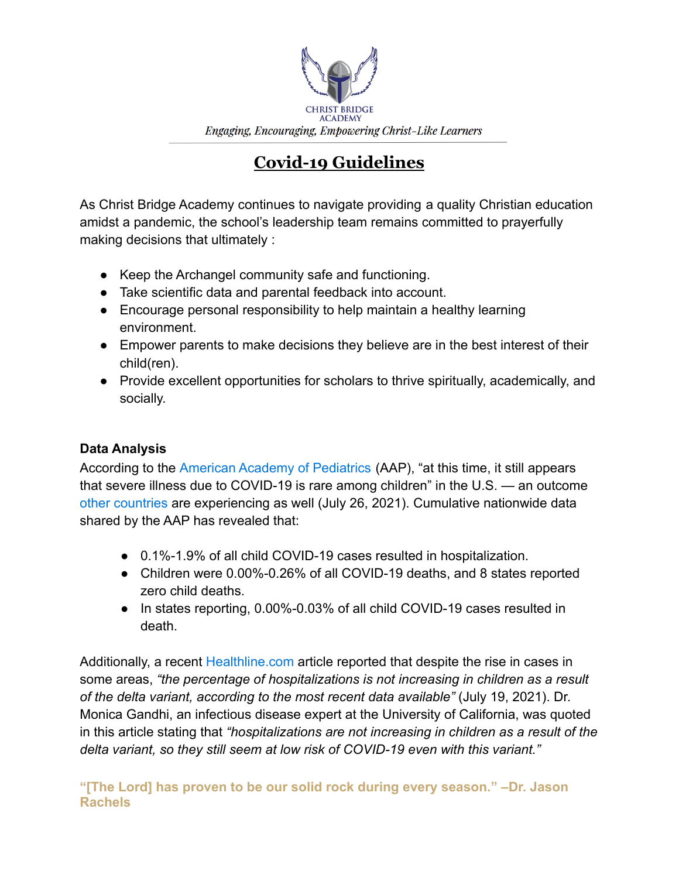

# **Covid-19 Guidelines**

As Christ Bridge Academy continues to navigate providing a quality Christian education amidst a pandemic, the school's leadership team remains committed to prayerfully making decisions that ultimately :

- Keep the Archangel community safe and functioning.
- Take scientific data and parental feedback into account.
- Encourage personal responsibility to help maintain a healthy learning environment.
- Empower parents to make decisions they believe are in the best interest of their child(ren).
- Provide excellent opportunities for scholars to thrive spiritually, academically, and socially.

# **Data Analysis**

According to the [American Academy of Pediatrics](https://services.aap.org/en/pages/2019-novel-coronavirus-covid-19-infections/children-and-covid-19-state-level-data-report/) (AAP), "at this time, it still appears that severe illness due to COVID-19 is rare among children" in the U.S. — an outcome [other countries](https://www.nature.com/articles/d41586-021-01897-w) are experiencing as well (July 26, 2021). Cumulative nationwide data shared by the AAP has revealed that:

- 0.1%-1.9% of all child COVID-19 cases resulted in hospitalization.
- Children were 0.00%-0.26% of all COVID-19 deaths, and 8 states reported zero child deaths.
- In states reporting, 0.00%-0.03% of all child COVID-19 cases resulted in death.

Additionally, a recent [Healthline.com](https://www.healthline.com/health-news/the-delta-variant-and-kids-heres-what-parents-should-know) article reported that despite the rise in cases in some areas, *"the percentage of hospitalizations is not increasing in children as a result of the delta variant, according to the most recent data available"* (July 19, 2021). Dr. Monica Gandhi, an infectious disease expert at the University of California, was quoted in this article stating that *"hospitalizations are not increasing in children as a result of the delta variant, so they still seem at low risk of COVID-19 even with this variant."*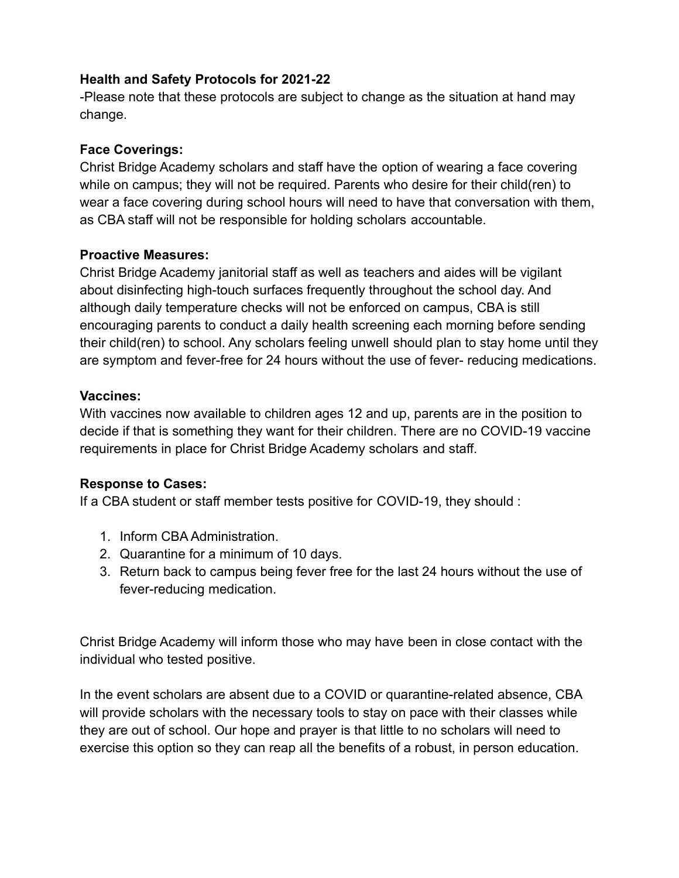#### **Health and Safety Protocols for 2021-22**

-Please note that these protocols are subject to change as the situation at hand may change.

#### **Face Coverings:**

Christ Bridge Academy scholars and staff have the option of wearing a face covering while on campus; they will not be required. Parents who desire for their child(ren) to wear a face covering during school hours will need to have that conversation with them, as CBA staff will not be responsible for holding scholars accountable.

## **Proactive Measures:**

Christ Bridge Academy janitorial staff as well as teachers and aides will be vigilant about disinfecting high-touch surfaces frequently throughout the school day. And although daily temperature checks will not be enforced on campus, CBA is still encouraging parents to conduct a daily health screening each morning before sending their child(ren) to school. Any scholars feeling unwell should plan to stay home until they are symptom and fever-free for 24 hours without the use of fever- reducing medications.

## **Vaccines:**

With vaccines now available to children ages 12 and up, parents are in the position to decide if that is something they want for their children. There are no COVID-19 vaccine requirements in place for Christ Bridge Academy scholars and staff.

# **Response to Cases:**

If a CBA student or staff member tests positive for COVID-19, they should :

- 1. Inform CBA Administration.
- 2. Quarantine for a minimum of 10 days.
- 3. Return back to campus being fever free for the last 24 hours without the use of fever-reducing medication.

Christ Bridge Academy will inform those who may have been in close contact with the individual who tested positive.

In the event scholars are absent due to a COVID or quarantine-related absence, CBA will provide scholars with the necessary tools to stay on pace with their classes while they are out of school. Our hope and prayer is that little to no scholars will need to exercise this option so they can reap all the benefits of a robust, in person education.